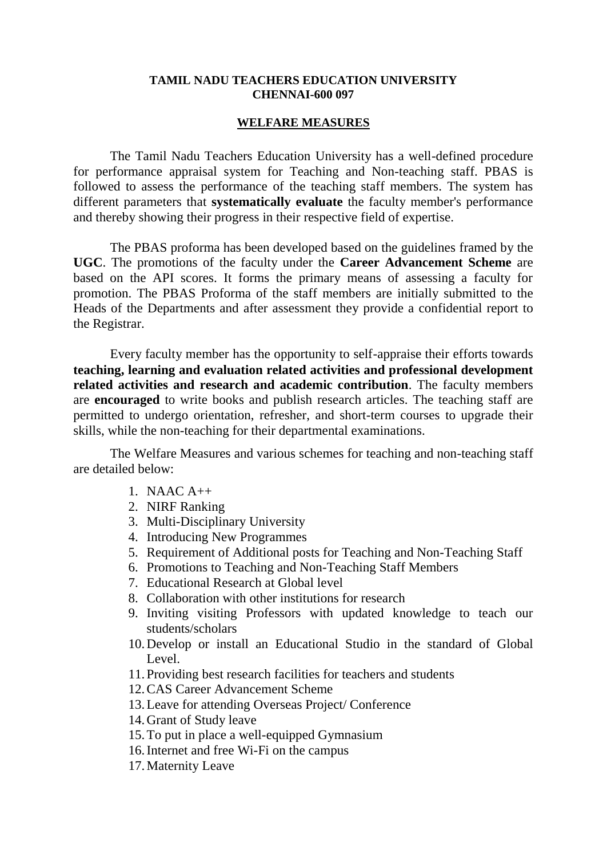## **TAMIL NADU TEACHERS EDUCATION UNIVERSITY CHENNAI-600 097**

## **WELFARE MEASURES**

The Tamil Nadu Teachers Education University has a well-defined procedure for performance appraisal system for Teaching and Non-teaching staff. PBAS is followed to assess the performance of the teaching staff members. The system has different parameters that **systematically evaluate** the faculty member's performance and thereby showing their progress in their respective field of expertise.

The PBAS proforma has been developed based on the guidelines framed by the **UGC**. The promotions of the faculty under the **Career Advancement Scheme** are based on the API scores. It forms the primary means of assessing a faculty for promotion. The PBAS Proforma of the staff members are initially submitted to the Heads of the Departments and after assessment they provide a confidential report to the Registrar.

Every faculty member has the opportunity to self-appraise their efforts towards **teaching, learning and evaluation related activities and professional development related activities and research and academic contribution**. The faculty members are **encouraged** to write books and publish research articles. The teaching staff are permitted to undergo orientation, refresher, and short-term courses to upgrade their skills, while the non-teaching for their departmental examinations.

The Welfare Measures and various schemes for teaching and non-teaching staff are detailed below:

- 1. NAAC A++
- 2. NIRF Ranking
- 3. Multi-Disciplinary University
- 4. Introducing New Programmes
- 5. Requirement of Additional posts for Teaching and Non-Teaching Staff
- 6. Promotions to Teaching and Non-Teaching Staff Members
- 7. Educational Research at Global level
- 8. Collaboration with other institutions for research
- 9. Inviting visiting Professors with updated knowledge to teach our students/scholars
- 10.Develop or install an Educational Studio in the standard of Global Level.
- 11.Providing best research facilities for teachers and students
- 12.CAS Career Advancement Scheme
- 13.Leave for attending Overseas Project/ Conference
- 14.Grant of Study leave
- 15.To put in place a well-equipped Gymnasium
- 16.Internet and free Wi-Fi on the campus
- 17.Maternity Leave